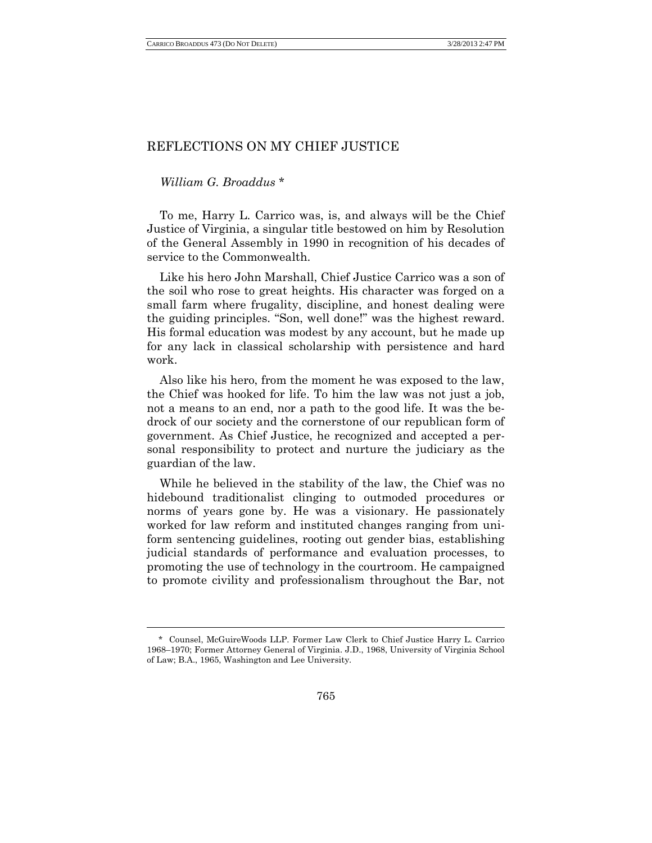## REFLECTIONS ON MY CHIEF JUSTICE

## *William G. Broaddus* \*

l

To me, Harry L. Carrico was, is, and always will be the Chief Justice of Virginia, a singular title bestowed on him by Resolution of the General Assembly in 1990 in recognition of his decades of service to the Commonwealth.

Like his hero John Marshall, Chief Justice Carrico was a son of the soil who rose to great heights. His character was forged on a small farm where frugality, discipline, and honest dealing were the guiding principles. "Son, well done!" was the highest reward. His formal education was modest by any account, but he made up for any lack in classical scholarship with persistence and hard work.

Also like his hero, from the moment he was exposed to the law, the Chief was hooked for life. To him the law was not just a job, not a means to an end, nor a path to the good life. It was the bedrock of our society and the cornerstone of our republican form of government. As Chief Justice, he recognized and accepted a personal responsibility to protect and nurture the judiciary as the guardian of the law.

While he believed in the stability of the law, the Chief was no hidebound traditionalist clinging to outmoded procedures or norms of years gone by. He was a visionary. He passionately worked for law reform and instituted changes ranging from uniform sentencing guidelines, rooting out gender bias, establishing judicial standards of performance and evaluation processes, to promoting the use of technology in the courtroom. He campaigned to promote civility and professionalism throughout the Bar, not

<sup>\*</sup> Counsel, McGuireWoods LLP. Former Law Clerk to Chief Justice Harry L. Carrico 1968–1970; Former Attorney General of Virginia. J.D., 1968, University of Virginia School of Law; B.A., 1965, Washington and Lee University.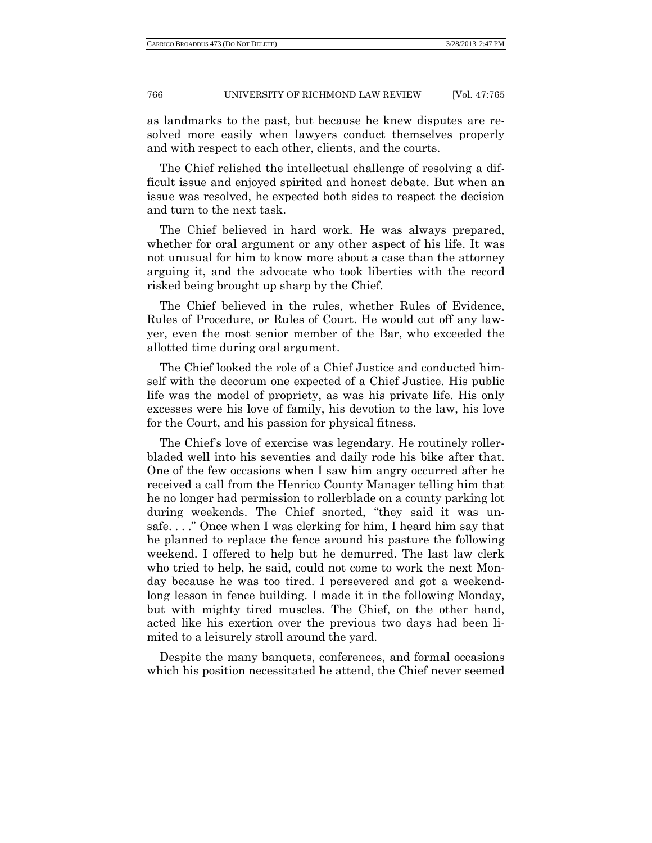## 766 UNIVERSITY OF RICHMOND LAW REVIEW [Vol. 47:765

as landmarks to the past, but because he knew disputes are resolved more easily when lawyers conduct themselves properly and with respect to each other, clients, and the courts.

The Chief relished the intellectual challenge of resolving a difficult issue and enjoyed spirited and honest debate. But when an issue was resolved, he expected both sides to respect the decision and turn to the next task.

The Chief believed in hard work. He was always prepared, whether for oral argument or any other aspect of his life. It was not unusual for him to know more about a case than the attorney arguing it, and the advocate who took liberties with the record risked being brought up sharp by the Chief.

The Chief believed in the rules, whether Rules of Evidence, Rules of Procedure, or Rules of Court. He would cut off any lawyer, even the most senior member of the Bar, who exceeded the allotted time during oral argument.

The Chief looked the role of a Chief Justice and conducted himself with the decorum one expected of a Chief Justice. His public life was the model of propriety, as was his private life. His only excesses were his love of family, his devotion to the law, his love for the Court, and his passion for physical fitness.

The Chief's love of exercise was legendary. He routinely rollerbladed well into his seventies and daily rode his bike after that. One of the few occasions when I saw him angry occurred after he received a call from the Henrico County Manager telling him that he no longer had permission to rollerblade on a county parking lot during weekends. The Chief snorted, "they said it was unsafe. . . ." Once when I was clerking for him, I heard him say that he planned to replace the fence around his pasture the following weekend. I offered to help but he demurred. The last law clerk who tried to help, he said, could not come to work the next Monday because he was too tired. I persevered and got a weekendlong lesson in fence building. I made it in the following Monday, but with mighty tired muscles. The Chief, on the other hand, acted like his exertion over the previous two days had been limited to a leisurely stroll around the yard.

Despite the many banquets, conferences, and formal occasions which his position necessitated he attend, the Chief never seemed